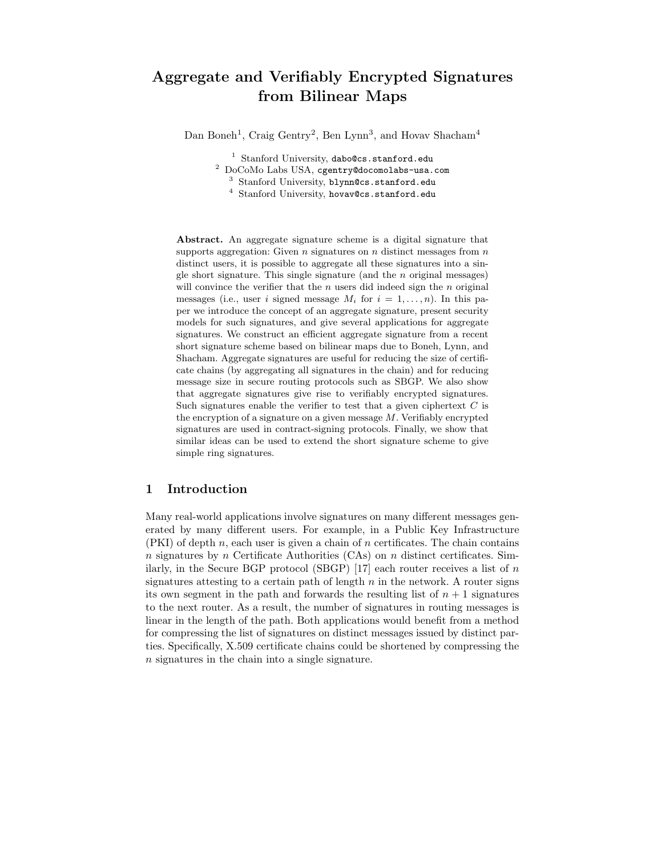# Aggregate and Verifiably Encrypted Signatures from Bilinear Maps

Dan Boneh<sup>1</sup>, Craig Gentry<sup>2</sup>, Ben Lynn<sup>3</sup>, and Hovav Shacham<sup>4</sup>

<sup>1</sup> Stanford University, dabo@cs.stanford.edu

<sup>2</sup> DoCoMo Labs USA, cgentry@docomolabs-usa.com

<sup>3</sup> Stanford University, blynn@cs.stanford.edu

<sup>4</sup> Stanford University, hovav@cs.stanford.edu

Abstract. An aggregate signature scheme is a digital signature that supports aggregation: Given  $n$  signatures on  $n$  distinct messages from  $n$ distinct users, it is possible to aggregate all these signatures into a single short signature. This single signature (and the  $n$  original messages) will convince the verifier that the  $n$  users did indeed sign the  $n$  original messages (i.e., user i signed message  $M_i$  for  $i = 1, \ldots, n$ ). In this paper we introduce the concept of an aggregate signature, present security models for such signatures, and give several applications for aggregate signatures. We construct an efficient aggregate signature from a recent short signature scheme based on bilinear maps due to Boneh, Lynn, and Shacham. Aggregate signatures are useful for reducing the size of certificate chains (by aggregating all signatures in the chain) and for reducing message size in secure routing protocols such as SBGP. We also show that aggregate signatures give rise to verifiably encrypted signatures. Such signatures enable the verifier to test that a given ciphertext  $C$  is the encryption of a signature on a given message  $M$ . Verifiably encrypted signatures are used in contract-signing protocols. Finally, we show that similar ideas can be used to extend the short signature scheme to give simple ring signatures.

# 1 Introduction

Many real-world applications involve signatures on many different messages generated by many different users. For example, in a Public Key Infrastructure  $(PKI)$  of depth n, each user is given a chain of n certificates. The chain contains n signatures by n Certificate Authorities (CAs) on n distinct certificates. Similarly, in the Secure BGP protocol (SBGP)  $[17]$  each router receives a list of n signatures attesting to a certain path of length  $n$  in the network. A router signs its own segment in the path and forwards the resulting list of  $n + 1$  signatures to the next router. As a result, the number of signatures in routing messages is linear in the length of the path. Both applications would benefit from a method for compressing the list of signatures on distinct messages issued by distinct parties. Specifically, X.509 certificate chains could be shortened by compressing the n signatures in the chain into a single signature.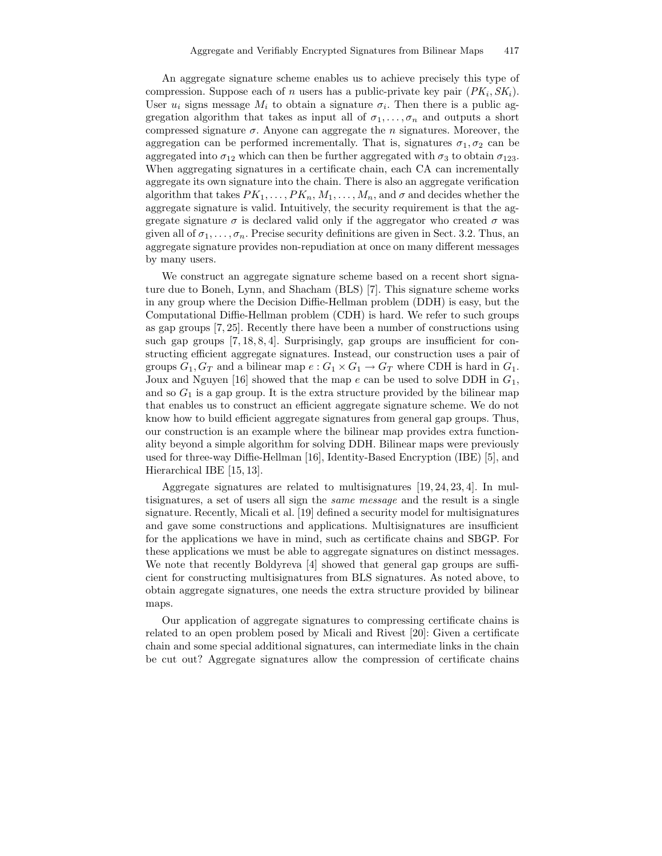An aggregate signature scheme enables us to achieve precisely this type of compression. Suppose each of *n* users has a public-private key pair  $(PK_i, SK_i)$ . User  $u_i$  signs message  $M_i$  to obtain a signature  $\sigma_i$ . Then there is a public aggregation algorithm that takes as input all of  $\sigma_1, \ldots, \sigma_n$  and outputs a short compressed signature  $\sigma$ . Anyone can aggregate the *n* signatures. Moreover, the aggregation can be performed incrementally. That is, signatures  $\sigma_1, \sigma_2$  can be aggregated into  $\sigma_{12}$  which can then be further aggregated with  $\sigma_3$  to obtain  $\sigma_{123}$ . When aggregating signatures in a certificate chain, each CA can incrementally aggregate its own signature into the chain. There is also an aggregate verification algorithm that takes  $PK_1, \ldots, PK_n, M_1, \ldots, M_n$ , and  $\sigma$  and decides whether the aggregate signature is valid. Intuitively, the security requirement is that the aggregate signature  $\sigma$  is declared valid only if the aggregator who created  $\sigma$  was given all of  $\sigma_1, \ldots, \sigma_n$ . Precise security definitions are given in Sect. 3.2. Thus, an aggregate signature provides non-repudiation at once on many different messages by many users.

We construct an aggregate signature scheme based on a recent short signature due to Boneh, Lynn, and Shacham (BLS) [7]. This signature scheme works in any group where the Decision Diffie-Hellman problem (DDH) is easy, but the Computational Diffie-Hellman problem (CDH) is hard. We refer to such groups as gap groups [7, 25]. Recently there have been a number of constructions using such gap groups  $[7, 18, 8, 4]$ . Surprisingly, gap groups are insufficient for constructing efficient aggregate signatures. Instead, our construction uses a pair of groups  $G_1, G_T$  and a bilinear map  $e : G_1 \times G_1 \to G_T$  where CDH is hard in  $G_1$ . Joux and Nguyen [16] showed that the map  $e$  can be used to solve DDH in  $G_1$ , and so  $G_1$  is a gap group. It is the extra structure provided by the bilinear map that enables us to construct an efficient aggregate signature scheme. We do not know how to build efficient aggregate signatures from general gap groups. Thus, our construction is an example where the bilinear map provides extra functionality beyond a simple algorithm for solving DDH. Bilinear maps were previously used for three-way Diffie-Hellman [16], Identity-Based Encryption (IBE) [5], and Hierarchical IBE [15, 13].

Aggregate signatures are related to multisignatures [19, 24, 23, 4]. In multisignatures, a set of users all sign the same message and the result is a single signature. Recently, Micali et al. [19] defined a security model for multisignatures and gave some constructions and applications. Multisignatures are insufficient for the applications we have in mind, such as certificate chains and SBGP. For these applications we must be able to aggregate signatures on distinct messages. We note that recently Boldyreva [4] showed that general gap groups are sufficient for constructing multisignatures from BLS signatures. As noted above, to obtain aggregate signatures, one needs the extra structure provided by bilinear maps.

Our application of aggregate signatures to compressing certificate chains is related to an open problem posed by Micali and Rivest [20]: Given a certificate chain and some special additional signatures, can intermediate links in the chain be cut out? Aggregate signatures allow the compression of certificate chains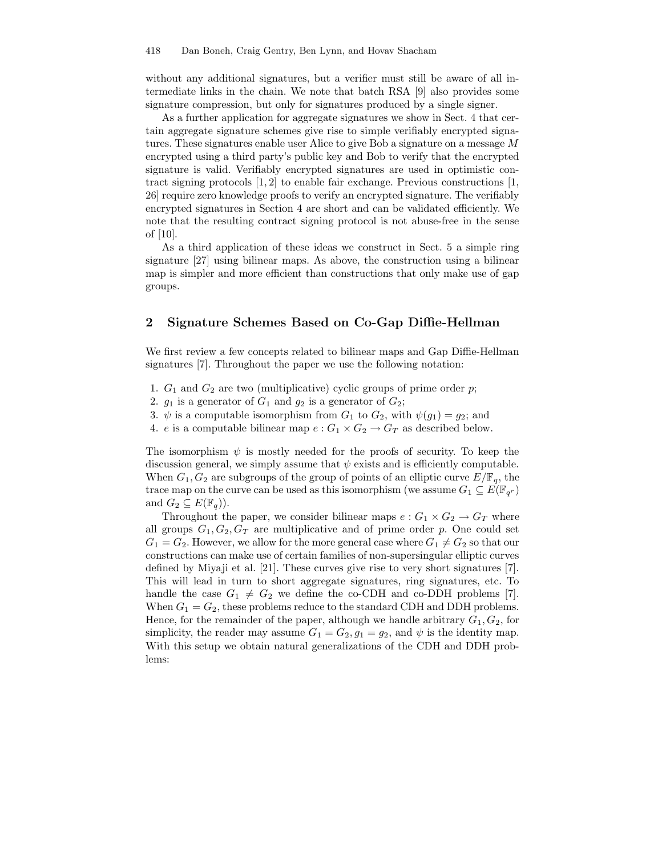without any additional signatures, but a verifier must still be aware of all intermediate links in the chain. We note that batch RSA [9] also provides some signature compression, but only for signatures produced by a single signer.

As a further application for aggregate signatures we show in Sect. 4 that certain aggregate signature schemes give rise to simple verifiably encrypted signatures. These signatures enable user Alice to give Bob a signature on a message M encrypted using a third party's public key and Bob to verify that the encrypted signature is valid. Verifiably encrypted signatures are used in optimistic contract signing protocols [1, 2] to enable fair exchange. Previous constructions [1, 26] require zero knowledge proofs to verify an encrypted signature. The verifiably encrypted signatures in Section 4 are short and can be validated efficiently. We note that the resulting contract signing protocol is not abuse-free in the sense of [10].

As a third application of these ideas we construct in Sect. 5 a simple ring signature [27] using bilinear maps. As above, the construction using a bilinear map is simpler and more efficient than constructions that only make use of gap groups.

## 2 Signature Schemes Based on Co-Gap Diffie-Hellman

We first review a few concepts related to bilinear maps and Gap Diffie-Hellman signatures [7]. Throughout the paper we use the following notation:

- 1.  $G_1$  and  $G_2$  are two (multiplicative) cyclic groups of prime order p;
- 2.  $g_1$  is a generator of  $G_1$  and  $g_2$  is a generator of  $G_2$ ;
- 3.  $\psi$  is a computable isomorphism from  $G_1$  to  $G_2$ , with  $\psi(g_1) = g_2$ ; and
- 4. e is a computable bilinear map  $e: G_1 \times G_2 \to G_T$  as described below.

The isomorphism  $\psi$  is mostly needed for the proofs of security. To keep the discussion general, we simply assume that  $\psi$  exists and is efficiently computable. When  $G_1, G_2$  are subgroups of the group of points of an elliptic curve  $E/\mathbb{F}_q$ , the trace map on the curve can be used as this isomorphism (we assume  $G_1 \subseteq E(\mathbb{F}_{q^r})$ and  $G_2 \subseteq E(\mathbb{F}_q)$ .

Throughout the paper, we consider bilinear maps  $e: G_1 \times G_2 \to G_T$  where all groups  $G_1, G_2, G_T$  are multiplicative and of prime order p. One could set  $G_1 = G_2$ . However, we allow for the more general case where  $G_1 \neq G_2$  so that our constructions can make use of certain families of non-supersingular elliptic curves defined by Miyaji et al. [21]. These curves give rise to very short signatures [7]. This will lead in turn to short aggregate signatures, ring signatures, etc. To handle the case  $G_1 \neq G_2$  we define the co-CDH and co-DDH problems [7]. When  $G_1 = G_2$ , these problems reduce to the standard CDH and DDH problems. Hence, for the remainder of the paper, although we handle arbitrary  $G_1, G_2$ , for simplicity, the reader may assume  $G_1 = G_2, g_1 = g_2$ , and  $\psi$  is the identity map. With this setup we obtain natural generalizations of the CDH and DDH problems: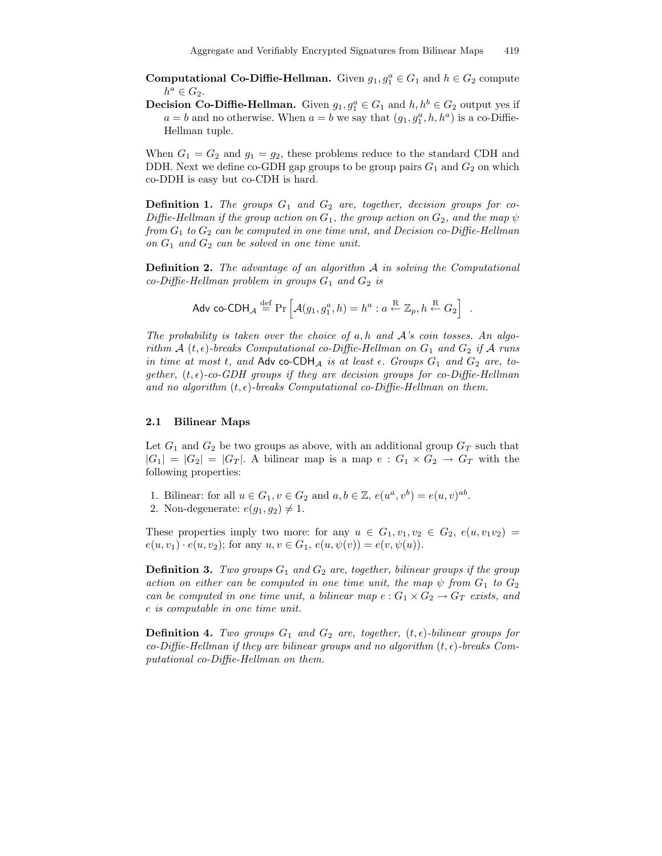- **Computational Co-Diffie-Hellman.** Given  $g_1, g_1^a \in G_1$  and  $h \in G_2$  compute  $h^a \in G_2$ .
- **Decision Co-Diffie-Hellman.** Given  $g_1, g_1^a \in G_1$  and  $h, h^b \in G_2$  output yes if  $a = b$  and no otherwise. When  $a = b$  we say that  $(g_1, g_1^a, h, h^a)$  is a co-Diffie-Hellman tuple.

When  $G_1 = G_2$  and  $g_1 = g_2$ , these problems reduce to the standard CDH and DDH. Next we define co-GDH gap groups to be group pairs  $G_1$  and  $G_2$  on which co-DDH is easy but co-CDH is hard.

**Definition 1.** The groups  $G_1$  and  $G_2$  are, together, decision groups for co-Diffie-Hellman if the group action on  $G_1$ , the group action on  $G_2$ , and the map  $\psi$ from  $G_1$  to  $G_2$  can be computed in one time unit, and Decision co-Diffie-Hellman on  $G_1$  and  $G_2$  can be solved in one time unit.

Definition 2. The advantage of an algorithm A in solving the Computational co-Diffie-Hellman problem in groups  $G_1$  and  $G_2$  is

$$
\mathsf{Adv}\ \mathsf{co}\text{-}\mathsf{CDH}_{\mathcal{A}} \stackrel{\mathrm{def}}{=} \Pr\left[\mathcal{A}(g_1, g_1^a, h) = h^a : a \stackrel{\mathrm{R}}{\leftarrow} \mathbb{Z}_p, h \stackrel{\mathrm{R}}{\leftarrow} G_2\right] \ .
$$

The probability is taken over the choice of a, h and  $\mathcal{A}$ 's coin tosses. An algorithm A  $(t, \epsilon)$ -breaks Computational co-Diffie-Hellman on  $G_1$  and  $G_2$  if A runs in time at most t, and Adv co-CDH<sub>A</sub> is at least  $\epsilon$ . Groups  $G_1$  and  $G_2$  are, together,  $(t, \epsilon)$ -co-GDH groups if they are decision groups for co-Diffie-Hellman and no algorithm  $(t, \epsilon)$ -breaks Computational co-Diffie-Hellman on them.

#### 2.1 Bilinear Maps

Let  $G_1$  and  $G_2$  be two groups as above, with an additional group  $G_T$  such that  $|G_1| = |G_2| = |G_T|$ . A bilinear map is a map  $e : G_1 \times G_2 \to G_T$  with the following properties:

- 1. Bilinear: for all  $u \in G_1$ ,  $v \in G_2$  and  $a, b \in \mathbb{Z}$ ,  $e(u^a, v^b) = e(u, v)^{ab}$ .
- 2. Non-degenerate:  $e(g_1, g_2) \neq 1$ .

These properties imply two more: for any  $u \in G_1, v_1, v_2 \in G_2$ ,  $e(u, v_1v_2)$  $e(u, v_1) \cdot e(u, v_2)$ ; for any  $u, v \in G_1$ ,  $e(u, \psi(v)) = e(v, \psi(u))$ .

**Definition 3.** Two groups  $G_1$  and  $G_2$  are, together, bilinear groups if the group action on either can be computed in one time unit, the map  $\psi$  from  $G_1$  to  $G_2$ can be computed in one time unit, a bilinear map  $e: G_1 \times G_2 \rightarrow G_T$  exists, and e is computable in one time unit.

**Definition 4.** Two groups  $G_1$  and  $G_2$  are, together,  $(t, \epsilon)$ -bilinear groups for co-Diffie-Hellman if they are bilinear groups and no algorithm  $(t, \epsilon)$ -breaks Computational co-Diffie-Hellman on them.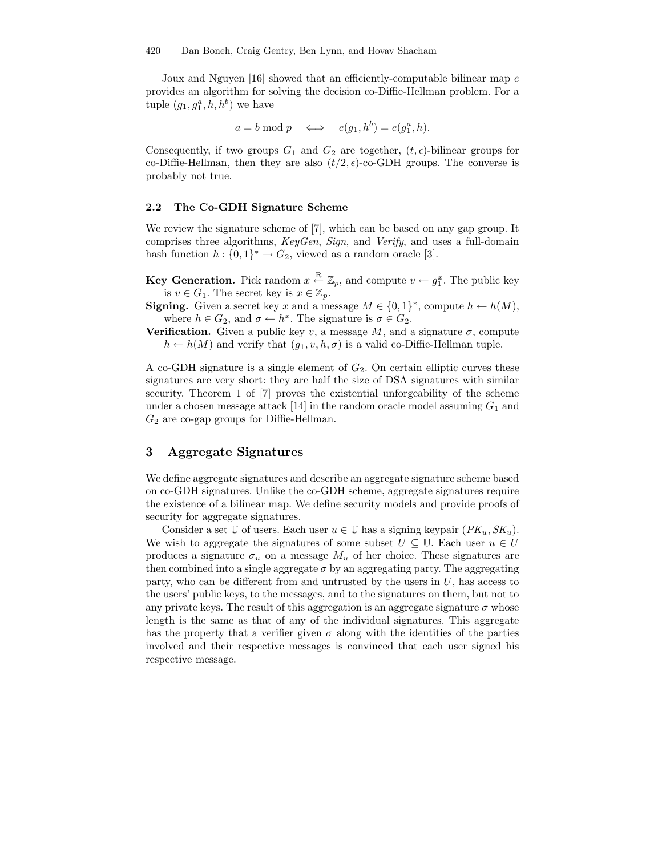Joux and Nguyen [16] showed that an efficiently-computable bilinear map e provides an algorithm for solving the decision co-Diffie-Hellman problem. For a tuple  $(g_1, g_1^a, h, h^b)$  we have

$$
a = b \bmod p \iff e(g_1, h^b) = e(g_1^a, h).
$$

Consequently, if two groups  $G_1$  and  $G_2$  are together,  $(t, \epsilon)$ -bilinear groups for co-Diffie-Hellman, then they are also  $(t/2, \epsilon)$ -co-GDH groups. The converse is probably not true.

#### 2.2 The Co-GDH Signature Scheme

We review the signature scheme of [7], which can be based on any gap group. It comprises three algorithms, KeyGen, Sign, and Verify, and uses a full-domain hash function  $h: \{0,1\}^* \to G_2$ , viewed as a random oracle [3].

**Key Generation.** Pick random  $x \stackrel{\text{R}}{\leftarrow} \mathbb{Z}_p$ , and compute  $v \leftarrow g_1^x$ . The public key is  $v \in G_1$ . The secret key is  $x \in \mathbb{Z}_p$ .

**Signing.** Given a secret key x and a message  $M \in \{0,1\}^*$ , compute  $h \leftarrow h(M)$ , where  $h \in G_2$ , and  $\sigma \leftarrow h^x$ . The signature is  $\sigma \in G_2$ .

**Verification.** Given a public key v, a message M, and a signature  $\sigma$ , compute  $h \leftarrow h(M)$  and verify that  $(q_1, v, h, \sigma)$  is a valid co-Diffie-Hellman tuple.

A co-GDH signature is a single element of  $G_2$ . On certain elliptic curves these signatures are very short: they are half the size of DSA signatures with similar security. Theorem 1 of [7] proves the existential unforgeability of the scheme under a chosen message attack [14] in the random oracle model assuming  $G_1$  and  $G_2$  are co-gap groups for Diffie-Hellman.

# 3 Aggregate Signatures

We define aggregate signatures and describe an aggregate signature scheme based on co-GDH signatures. Unlike the co-GDH scheme, aggregate signatures require the existence of a bilinear map. We define security models and provide proofs of security for aggregate signatures.

Consider a set  $\mathbb U$  of users. Each user  $u \in \mathbb U$  has a signing keypair  $(PK_u, SK_u)$ . We wish to aggregate the signatures of some subset  $U \subseteq U$ . Each user  $u \in U$ produces a signature  $\sigma_u$  on a message  $M_u$  of her choice. These signatures are then combined into a single aggregate  $\sigma$  by an aggregating party. The aggregating party, who can be different from and untrusted by the users in  $U$ , has access to the users' public keys, to the messages, and to the signatures on them, but not to any private keys. The result of this aggregation is an aggregate signature  $\sigma$  whose length is the same as that of any of the individual signatures. This aggregate has the property that a verifier given  $\sigma$  along with the identities of the parties involved and their respective messages is convinced that each user signed his respective message.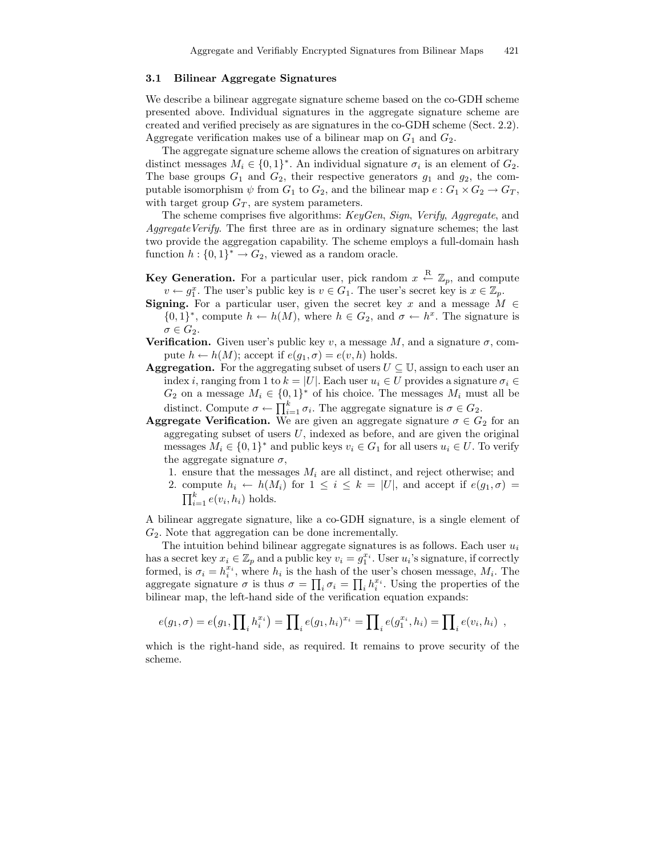#### 3.1 Bilinear Aggregate Signatures

We describe a bilinear aggregate signature scheme based on the co-GDH scheme presented above. Individual signatures in the aggregate signature scheme are created and verified precisely as are signatures in the co-GDH scheme (Sect. 2.2). Aggregate verification makes use of a bilinear map on  $G_1$  and  $G_2$ .

The aggregate signature scheme allows the creation of signatures on arbitrary distinct messages  $M_i \in \{0,1\}^*$ . An individual signature  $\sigma_i$  is an element of  $G_2$ . The base groups  $G_1$  and  $G_2$ , their respective generators  $g_1$  and  $g_2$ , the computable isomorphism  $\psi$  from  $G_1$  to  $G_2$ , and the bilinear map  $e: G_1 \times G_2 \to G_T$ , with target group  $G_T$ , are system parameters.

The scheme comprises five algorithms: KeyGen, Sign, Verify, Aggregate, and AggregateVerify. The first three are as in ordinary signature schemes; the last two provide the aggregation capability. The scheme employs a full-domain hash function  $h: \{0,1\}^* \to G_2$ , viewed as a random oracle.

- Key Generation. For a particular user, pick random  $x \stackrel{\text{R}}{\leftarrow} \mathbb{Z}_p$ , and compute  $v \leftarrow g_1^x$ . The user's public key is  $v \in G_1$ . The user's secret key is  $x \in \mathbb{Z}_p$ .
- Signing. For a particular user, given the secret key x and a message  $M \in$  $\{0,1\}^*$ , compute  $h \leftarrow h(M)$ , where  $h \in G_2$ , and  $\sigma \leftarrow h^x$ . The signature is  $\sigma \in G_2$ .
- **Verification.** Given user's public key v, a message M, and a signature  $\sigma$ , compute  $h \leftarrow h(M)$ ; accept if  $e(g_1, \sigma) = e(v, h)$  holds.
- **Aggregation.** For the aggregating subset of users  $U \subseteq U$ , assign to each user an index i, ranging from 1 to  $k = |U|$ . Each user  $u_i \in U$  provides a signature  $\sigma_i \in$  $G_2$  on a message  $M_i \in \{0,1\}^*$  of his choice. The messages  $M_i$  must all be distinct. Compute  $\sigma \leftarrow \prod_{i=1}^{k} \sigma_i$ . The aggregate signature is  $\sigma \in G_2$ .
- **Aggregate Verification.** We are given an aggregate signature  $\sigma \in G_2$  for an aggregating subset of users  $U$ , indexed as before, and are given the original messages  $M_i \in \{0,1\}^*$  and public keys  $v_i \in G_1$  for all users  $u_i \in U$ . To verify the aggregate signature  $\sigma$ ,
	- 1. ensure that the messages  $M_i$  are all distinct, and reject otherwise; and
	- 2. compute  $h_i \leftarrow h(M_i)$  for  $1 \leq i \leq k = |U|$ , and accept if  $e(g_1, \sigma)$  $\prod_{i=1}^{k} e(v_i, h_i)$  holds.

A bilinear aggregate signature, like a co-GDH signature, is a single element of  $G_2$ . Note that aggregation can be done incrementally.

The intuition behind bilinear aggregate signatures is as follows. Each user  $u_i$ has a secret key  $x_i \in \mathbb{Z}_p$  and a public key  $v_i = g_1^{x_i}$ . User  $u_i$ 's signature, if correctly formed, is  $\sigma_i = h_i^{x_i}$ , where  $h_i$  is the hash of the user's chosen message,  $M_i$ . The aggregate signature  $\sigma$  is thus  $\sigma = \prod_i \sigma_i = \prod_i h_i^{x_i}$ . Using the properties of the bilinear map, the left-hand side of the verification equation expands:

$$
e(g_1, \sigma) = e(g_1, \prod_i h_i^{x_i}) = \prod_i e(g_1, h_i)^{x_i} = \prod_i e(g_1^{x_i}, h_i) = \prod_i e(v_i, h_i) ,
$$

which is the right-hand side, as required. It remains to prove security of the scheme.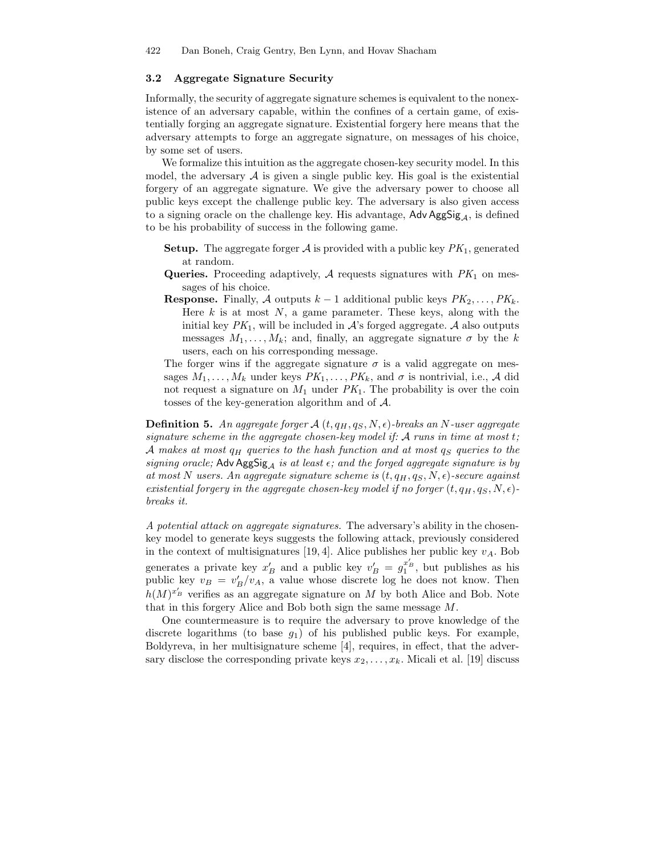#### 3.2 Aggregate Signature Security

Informally, the security of aggregate signature schemes is equivalent to the nonexistence of an adversary capable, within the confines of a certain game, of existentially forging an aggregate signature. Existential forgery here means that the adversary attempts to forge an aggregate signature, on messages of his choice, by some set of users.

We formalize this intuition as the aggregate chosen-key security model. In this model, the adversary  $A$  is given a single public key. His goal is the existential forgery of an aggregate signature. We give the adversary power to choose all public keys except the challenge public key. The adversary is also given access to a signing oracle on the challenge key. His advantage,  $\mathsf{AdvAggSig}_A$ , is defined to be his probability of success in the following game.

- **Setup.** The aggregate forger  $A$  is provided with a public key  $PK_1$ , generated at random.
- Queries. Proceeding adaptively,  $A$  requests signatures with  $PK_1$  on messages of his choice.
- **Response.** Finally, A outputs  $k 1$  additional public keys  $PK_2, \ldots, PK_k$ . Here  $k$  is at most  $N$ , a game parameter. These keys, along with the initial key  $PK_1$ , will be included in  $A$ 's forged aggregate. A also outputs messages  $M_1, \ldots, M_k$ ; and, finally, an aggregate signature  $\sigma$  by the k users, each on his corresponding message.

The forger wins if the aggregate signature  $\sigma$  is a valid aggregate on messages  $M_1, \ldots, M_k$  under keys  $PK_1, \ldots, PK_k$ , and  $\sigma$  is nontrivial, i.e., A did not request a signature on  $M_1$  under  $PK_1$ . The probability is over the coin tosses of the key-generation algorithm and of A.

**Definition 5.** An aggregate forger  $A(t, q_H, q_S, N, \epsilon)$ -breaks an N-user aggregate signature scheme in the aggregate chosen-key model if:  $A$  runs in time at most t; A makes at most  $q_H$  queries to the hash function and at most  $q_S$  queries to the signing oracle; Adv AggSig<sub>A</sub> is at least  $\epsilon$ ; and the forged aggregate signature is by at most N users. An aggregate signature scheme is  $(t, q_H, q_S, N, \epsilon)$ -secure against existential forgery in the aggregate chosen-key model if no forger  $(t, q_H, q_S, N, \epsilon)$ breaks it.

A potential attack on aggregate signatures. The adversary's ability in the chosenkey model to generate keys suggests the following attack, previously considered in the context of multisignatures [19, 4]. Alice publishes her public key  $v_A$ . Bob generates a private key  $x'_B$  and a public key  $v'_B = g_1^{x'_B}$ , but publishes as his public key  $v_B = v'_B/v_A$ , a value whose discrete log he does not know. Then  $h(M)^{x'_{B}}$  verifies as an aggregate signature on M by both Alice and Bob. Note that in this forgery Alice and Bob both sign the same message M.

One countermeasure is to require the adversary to prove knowledge of the discrete logarithms (to base  $g_1$ ) of his published public keys. For example, Boldyreva, in her multisignature scheme [4], requires, in effect, that the adversary disclose the corresponding private keys  $x_2, \ldots, x_k$ . Micali et al. [19] discuss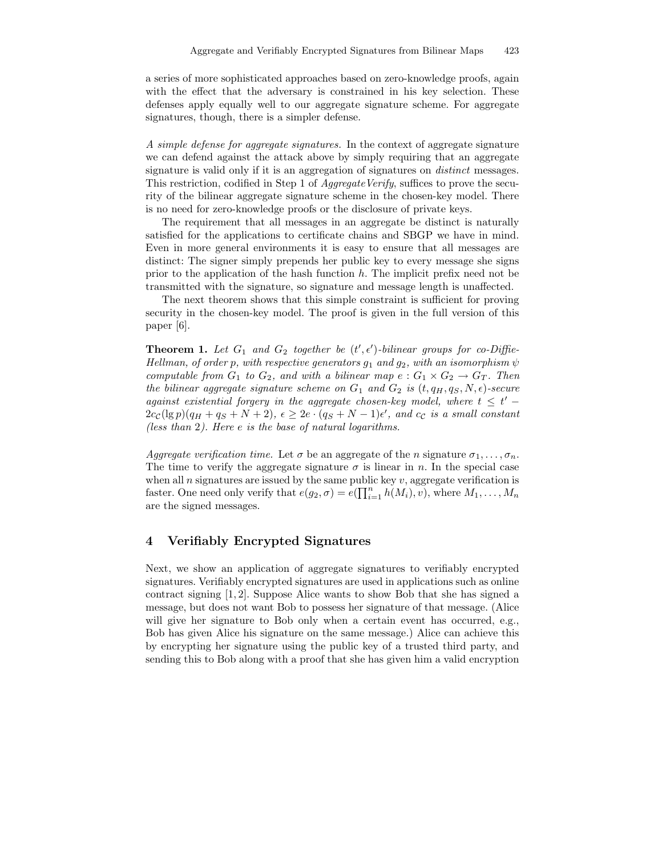a series of more sophisticated approaches based on zero-knowledge proofs, again with the effect that the adversary is constrained in his key selection. These defenses apply equally well to our aggregate signature scheme. For aggregate signatures, though, there is a simpler defense.

A simple defense for aggregate signatures. In the context of aggregate signature we can defend against the attack above by simply requiring that an aggregate signature is valid only if it is an aggregation of signatures on distinct messages. This restriction, codified in Step 1 of *AggregateVerify*, suffices to prove the security of the bilinear aggregate signature scheme in the chosen-key model. There is no need for zero-knowledge proofs or the disclosure of private keys.

The requirement that all messages in an aggregate be distinct is naturally satisfied for the applications to certificate chains and SBGP we have in mind. Even in more general environments it is easy to ensure that all messages are distinct: The signer simply prepends her public key to every message she signs prior to the application of the hash function  $h$ . The implicit prefix need not be transmitted with the signature, so signature and message length is unaffected.

The next theorem shows that this simple constraint is sufficient for proving security in the chosen-key model. The proof is given in the full version of this paper [6].

**Theorem 1.** Let  $G_1$  and  $G_2$  together be  $(t', \epsilon')$ -bilinear groups for co-Diffie-Hellman, of order p, with respective generators  $g_1$  and  $g_2$ , with an isomorphism  $\psi$ computable from  $G_1$  to  $G_2$ , and with a bilinear map  $e: G_1 \times G_2 \to G_T$ . Then the bilinear aggregate signature scheme on  $G_1$  and  $G_2$  is  $(t, q_H, q_S, N, \epsilon)$ -secure against existential forgery in the aggregate chosen-key model, where  $t \leq t'$  –  $2c_{\mathcal{C}}(\lg p)(q_H+q_S+N+2), \epsilon \geq 2e \cdot (q_S+N-1)\epsilon'$ , and  $c_{\mathcal{C}}$  is a small constant (less than 2). Here e is the base of natural logarithms.

Aggregate verification time. Let  $\sigma$  be an aggregate of the n signature  $\sigma_1, \ldots, \sigma_n$ . The time to verify the aggregate signature  $\sigma$  is linear in n. In the special case when all  $n$  signatures are issued by the same public key  $v$ , aggregate verification is faster. One need only verify that  $e(g_2, \sigma) = e(\prod_{i=1}^n h(M_i), v)$ , where  $M_1, \ldots, M_n$ are the signed messages.

# 4 Verifiably Encrypted Signatures

Next, we show an application of aggregate signatures to verifiably encrypted signatures. Verifiably encrypted signatures are used in applications such as online contract signing [1, 2]. Suppose Alice wants to show Bob that she has signed a message, but does not want Bob to possess her signature of that message. (Alice will give her signature to Bob only when a certain event has occurred, e.g., Bob has given Alice his signature on the same message.) Alice can achieve this by encrypting her signature using the public key of a trusted third party, and sending this to Bob along with a proof that she has given him a valid encryption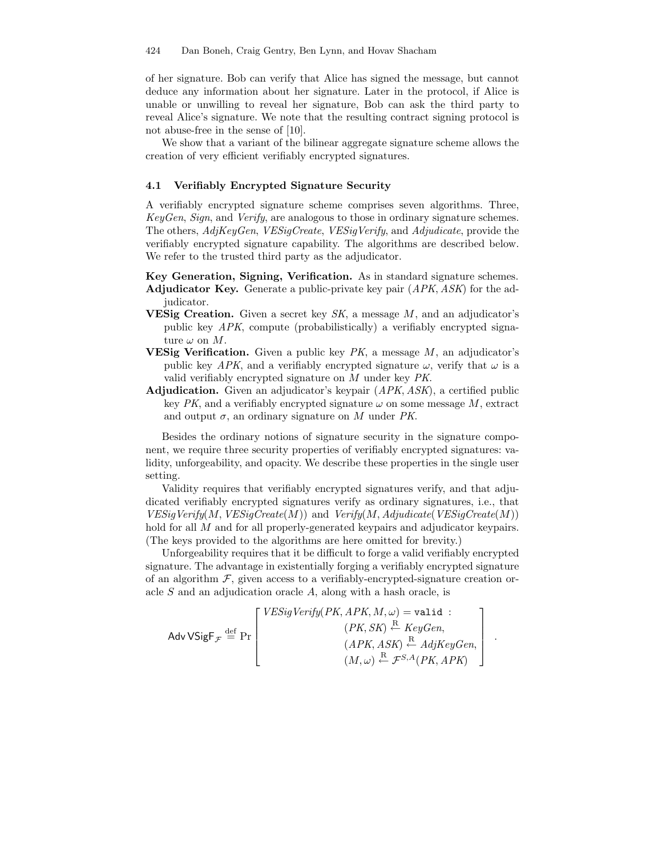of her signature. Bob can verify that Alice has signed the message, but cannot deduce any information about her signature. Later in the protocol, if Alice is unable or unwilling to reveal her signature, Bob can ask the third party to reveal Alice's signature. We note that the resulting contract signing protocol is not abuse-free in the sense of [10].

We show that a variant of the bilinear aggregate signature scheme allows the creation of very efficient verifiably encrypted signatures.

#### 4.1 Verifiably Encrypted Signature Security

A verifiably encrypted signature scheme comprises seven algorithms. Three, KeyGen, Sign, and Verify, are analogous to those in ordinary signature schemes. The others, AdjKeyGen, VESigCreate, VESigVerify, and Adjudicate, provide the verifiably encrypted signature capability. The algorithms are described below. We refer to the trusted third party as the adjudicator.

Key Generation, Signing, Verification. As in standard signature schemes. Adjudicator Key. Generate a public-private key pair  $(APK, ASK)$  for the adjudicator.

- **VESig Creation.** Given a secret key  $SK$ , a message  $M$ , and an adjudicator's public key APK, compute (probabilistically) a verifiably encrypted signature  $\omega$  on M.
- **VESig Verification.** Given a public key  $PK$ , a message  $M$ , an adjudicator's public key APK, and a verifiably encrypted signature  $\omega$ , verify that  $\omega$  is a valid verifiably encrypted signature on M under key PK.
- Adjudication. Given an adjudicator's keypair (APK, ASK), a certified public key PK, and a verifiably encrypted signature  $\omega$  on some message M, extract and output  $\sigma$ , an ordinary signature on M under PK.

Besides the ordinary notions of signature security in the signature component, we require three security properties of verifiably encrypted signatures: validity, unforgeability, and opacity. We describe these properties in the single user setting.

Validity requires that verifiably encrypted signatures verify, and that adjudicated verifiably encrypted signatures verify as ordinary signatures, i.e., that  $VESigVerify(M, VESigCreate(M))$  and  $Verify(M, Adjudicate(VESigCreate(M))$ hold for all M and for all properly-generated keypairs and adjudicator keypairs. (The keys provided to the algorithms are here omitted for brevity.)

Unforgeability requires that it be difficult to forge a valid verifiably encrypted signature. The advantage in existentially forging a verifiably encrypted signature of an algorithm  $F$ , given access to a verifiably-encrypted-signature creation oracle S and an adjudication oracle A, along with a hash oracle, is

Adv V $\mathsf{SigF}_{\mathcal{F}}\stackrel{\mathrm{def}}{=}\mathrm{Pr}$  $\sqrt{ }$   $VESigVerify(PK, APK, M, \omega) = \mathtt{valid}$ :  $(PK, SK) \stackrel{\text{R}}{\leftarrow} KeyGen,$  $(APK, ASK) \stackrel{\text{R}}{\leftarrow} AdjKeyGen,$  $(M, \omega) \stackrel{\text{R}}{\leftarrow} \mathcal{F}^{S,A}(PK, APR)$ 1 

.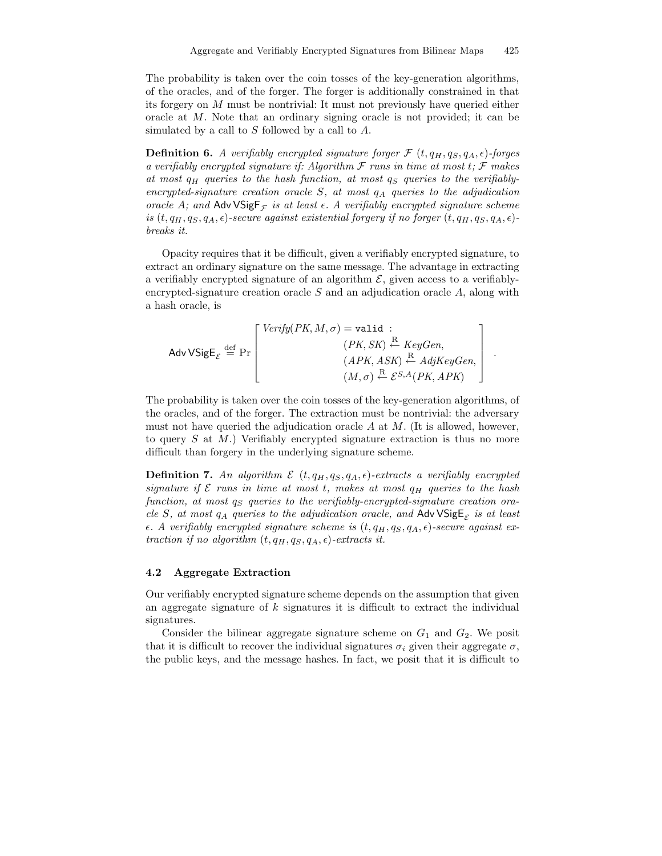The probability is taken over the coin tosses of the key-generation algorithms, of the oracles, and of the forger. The forger is additionally constrained in that its forgery on M must be nontrivial: It must not previously have queried either oracle at M. Note that an ordinary signing oracle is not provided; it can be simulated by a call to  $S$  followed by a call to  $A$ .

**Definition 6.** A verifiably encrypted signature forger  $\mathcal{F}$  (t,  $q_H, q_S, q_A, \epsilon$ )-forges a verifiably encrypted signature if: Algorithm  $\mathcal F$  runs in time at most  $t; \mathcal F$  makes at most  $q_H$  queries to the hash function, at most  $q_S$  queries to the verifiablyencrypted-signature creation oracle  $S$ , at most  $q_A$  queries to the adjudication oracle A; and Adv  $\mathsf{VSigF}_{\tau}$  is at least  $\epsilon$ . A verifiably encrypted signature scheme is  $(t, q_H, q_S, q_A, \epsilon)$ -secure against existential forgery if no forger  $(t, q_H, q_S, q_A, \epsilon)$ breaks it.

Opacity requires that it be difficult, given a verifiably encrypted signature, to extract an ordinary signature on the same message. The advantage in extracting a verifiably encrypted signature of an algorithm  $\mathcal{E}$ , given access to a verifiablyencrypted-signature creation oracle  $S$  and an adjudication oracle  $A$ , along with a hash oracle, is

$$
\mathsf{Adv}\,\mathsf{VSigE}_{\mathcal{E}} \stackrel{\text{def}}{=} \Pr\left[\begin{array}{c} \n\text{Verify}(PK, M, \sigma) = \mathtt{valid} : \\
\text{(PK, SK)} \stackrel{\text{R}}{\leftarrow} \text{KeyGen}, \\
\text{(APK, ASK)} \stackrel{\text{R}}{\leftarrow} \text{AdjKeyGen}, \\
\text{(M, \sigma)} \stackrel{\text{R}}{\leftarrow} \mathcal{E}^{S,A}(\text{PK}, \text{APK}) \n\end{array}\right]\right]
$$

.

The probability is taken over the coin tosses of the key-generation algorithms, of the oracles, and of the forger. The extraction must be nontrivial: the adversary must not have queried the adjudication oracle  $A$  at  $M$ . (It is allowed, however, to query  $S$  at  $M$ .) Verifiably encrypted signature extraction is thus no more difficult than forgery in the underlying signature scheme.

**Definition 7.** An algorithm  $\mathcal{E}(t, q_H, q_S, q_A, \epsilon)$ -extracts a verifiably encrypted signature if  $\mathcal E$  runs in time at most t, makes at most  $q_H$  queries to the hash function, at most  $q_S$  queries to the verifiably-encrypted-signature creation oracle S, at most  $q_A$  queries to the adjudication oracle, and Adv  $\mathsf{VSigE}_\mathcal{E}$  is at least  $\epsilon$ . A verifiably encrypted signature scheme is  $(t, q_H, q_S, q_A, \epsilon)$ -secure against extraction if no algorithm  $(t, q_H, q_S, q_A, \epsilon)$ -extracts it.

#### 4.2 Aggregate Extraction

Our verifiably encrypted signature scheme depends on the assumption that given an aggregate signature of  $k$  signatures it is difficult to extract the individual signatures.

Consider the bilinear aggregate signature scheme on  $G_1$  and  $G_2$ . We posit that it is difficult to recover the individual signatures  $\sigma_i$  given their aggregate  $\sigma$ , the public keys, and the message hashes. In fact, we posit that it is difficult to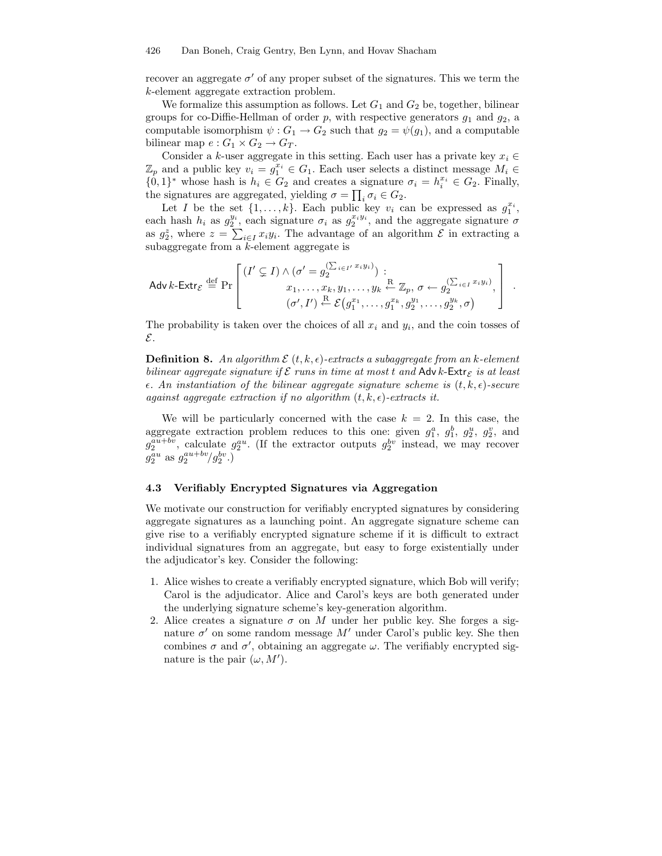recover an aggregate  $\sigma'$  of any proper subset of the signatures. This we term the k-element aggregate extraction problem.

We formalize this assumption as follows. Let  $G_1$  and  $G_2$  be, together, bilinear groups for co-Diffie-Hellman of order  $p$ , with respective generators  $g_1$  and  $g_2$ , a computable isomorphism  $\psi : G_1 \to G_2$  such that  $g_2 = \psi(g_1)$ , and a computable bilinear map  $e: G_1 \times G_2 \to G_T$ .

Consider a k-user aggregate in this setting. Each user has a private key  $x_i \in$  $\mathbb{Z}_p$  and a public key  $v_i = g_1^{x_i} \in G_1$ . Each user selects a distinct message  $M_i \in$  $\{0,1\}^*$  whose hash is  $h_i \in G_2$  and creates a signature  $\sigma_i = h_i^{x_i} \in G_2$ . Finally, the signatures are aggregated, yielding  $\sigma = \prod_i \sigma_i \in G_2$ .

Let I be the set  $\{1, \ldots, k\}$ . Each public key  $v_i$  can be expressed as  $g_1^{x_i}$ , each hash  $h_i$  as  $g_2^{y_i}$ , each signature  $\sigma_i$  as  $g_2^{x_iy_i}$ , and the aggregate signature  $\sigma$ as  $g_2^z$ , where  $z = \sum_{i \in I} x_i y_i$ . The advantage of an algorithm  $\mathcal E$  in extracting a subaggregate from a  $\vec{k}$ -element aggregate is

$$
\mathsf{Adv}\,k\text{-}\mathsf{Extr}_{\mathcal{E}}\stackrel{\text{def}}{=} \Pr\left[\begin{array}{c} (I' \subsetneq I) \land (\sigma' = g_2^{(\sum_{i \in I'} x_i y_i)}) : \\ x_1, \dots, x_k, y_1, \dots, y_k \stackrel{\text{R}}{\leftarrow} \mathbb{Z}_p, \sigma \leftarrow g_2^{(\sum_{i \in I} x_i y_i)}, \\ (\sigma', I') \stackrel{\text{R}}{\leftarrow} \mathcal{E}(g_1^{x_1}, \dots, g_1^{x_k}, g_2^{y_1}, \dots, g_2^{y_k}, \sigma) \end{array}\right) \right].
$$

The probability is taken over the choices of all  $x_i$  and  $y_i$ , and the coin tosses of E.

**Definition 8.** An algorithm  $\mathcal{E}(t, k, \epsilon)$ -extracts a subaggregate from an k-element bilinear aggregate signature if  $\mathcal E$  runs in time at most t and Adv k-Extr<sub> $\mathcal E$ </sub> is at least  $\epsilon$ . An instantiation of the bilinear aggregate signature scheme is  $(t, k, \epsilon)$ -secure against aggregate extraction if no algorithm  $(t, k, \epsilon)$ -extracts it.

We will be particularly concerned with the case  $k = 2$ . In this case, the aggregate extraction problem reduces to this one: given  $g_1^a$ ,  $g_1^b$ ,  $g_2^u$ ,  $g_2^v$ , and  $g_2^{au+bv}$ , calculate  $g_2^{au}$ . (If the extractor outputs  $g_2^{bv}$  instead, we may recover  $g_2^{au}$  as  $g_2^{au + bv}/g_2^{bv}$ .)

#### 4.3 Verifiably Encrypted Signatures via Aggregation

We motivate our construction for verifiably encrypted signatures by considering aggregate signatures as a launching point. An aggregate signature scheme can give rise to a verifiably encrypted signature scheme if it is difficult to extract individual signatures from an aggregate, but easy to forge existentially under the adjudicator's key. Consider the following:

- 1. Alice wishes to create a verifiably encrypted signature, which Bob will verify; Carol is the adjudicator. Alice and Carol's keys are both generated under the underlying signature scheme's key-generation algorithm.
- 2. Alice creates a signature  $\sigma$  on M under her public key. She forges a signature  $\sigma'$  on some random message  $M'$  under Carol's public key. She then combines  $\sigma$  and  $\sigma'$ , obtaining an aggregate  $\omega$ . The verifiably encrypted signature is the pair  $(\omega, M')$ .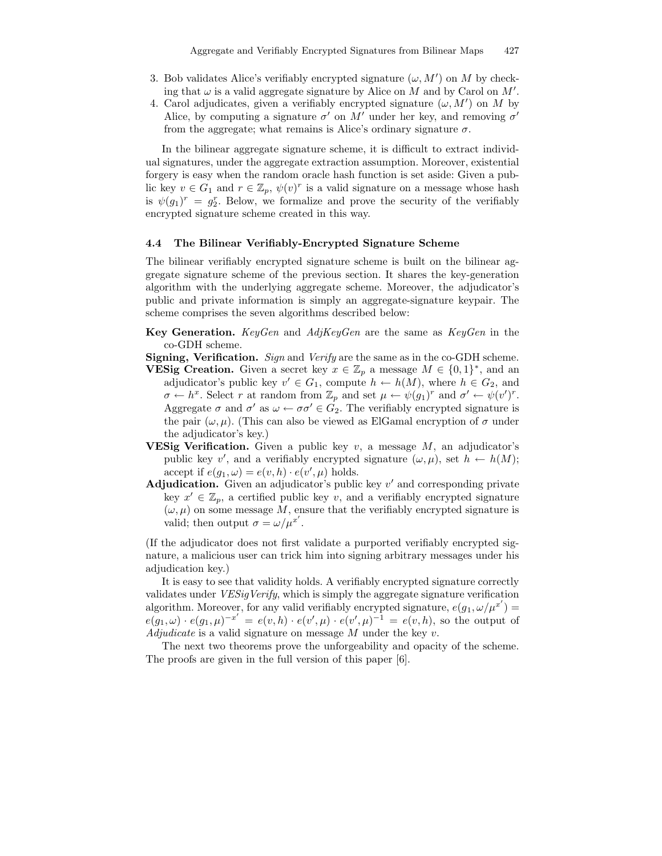- 3. Bob validates Alice's verifiably encrypted signature  $(\omega, M')$  on M by checking that  $\omega$  is a valid aggregate signature by Alice on M and by Carol on  $M'$ .
- 4. Carol adjudicates, given a verifiably encrypted signature  $(\omega, M')$  on M by Alice, by computing a signature  $\sigma'$  on M' under her key, and removing  $\sigma'$ from the aggregate; what remains is Alice's ordinary signature  $\sigma$ .

In the bilinear aggregate signature scheme, it is difficult to extract individual signatures, under the aggregate extraction assumption. Moreover, existential forgery is easy when the random oracle hash function is set aside: Given a public key  $v \in G_1$  and  $r \in \mathbb{Z}_p$ ,  $\psi(v)^r$  is a valid signature on a message whose hash is  $\psi(g_1)^r = g_2^r$ . Below, we formalize and prove the security of the verifiably encrypted signature scheme created in this way.

#### 4.4 The Bilinear Verifiably-Encrypted Signature Scheme

The bilinear verifiably encrypted signature scheme is built on the bilinear aggregate signature scheme of the previous section. It shares the key-generation algorithm with the underlying aggregate scheme. Moreover, the adjudicator's public and private information is simply an aggregate-signature keypair. The scheme comprises the seven algorithms described below:

- Key Generation. KeyGen and AdjKeyGen are the same as KeyGen in the co-GDH scheme.
- Signing, Verification. Sign and Verify are the same as in the co-GDH scheme.
- **VESig Creation.** Given a secret key  $x \in \mathbb{Z}_p$  a message  $M \in \{0,1\}^*$ , and an adjudicator's public key  $v' \in G_1$ , compute  $h \leftarrow h(M)$ , where  $h \in G_2$ , and  $\sigma \leftarrow h^x$ . Select r at random from  $\mathbb{Z}_p$  and set  $\mu \leftarrow \psi(g_1)^r$  and  $\sigma' \leftarrow \psi(v')^r$ . Aggregate  $\sigma$  and  $\sigma'$  as  $\omega \leftarrow \sigma \sigma' \in \tilde{G_2}$ . The verifiably encrypted signature is the pair  $(\omega, \mu)$ . (This can also be viewed as ElGamal encryption of  $\sigma$  under the adjudicator's key.)
- **VESig Verification.** Given a public key  $v$ , a message  $M$ , an adjudicator's public key v', and a verifiably encrypted signature  $(\omega, \mu)$ , set  $h \leftarrow h(M)$ ; accept if  $e(g_1, \omega) = e(v, h) \cdot e(v', \mu)$  holds.
- Adjudication. Given an adjudicator's public key  $v'$  and corresponding private key  $x' \in \mathbb{Z}_p$ , a certified public key v, and a verifiably encrypted signature  $(\omega, \mu)$  on some message M, ensure that the verifiably encrypted signature is valid; then output  $\sigma = \omega / \mu^{x'}$ .

(If the adjudicator does not first validate a purported verifiably encrypted signature, a malicious user can trick him into signing arbitrary messages under his adjudication key.)

It is easy to see that validity holds. A verifiably encrypted signature correctly validates under VESigVerify, which is simply the aggregate signature verification algorithm. Moreover, for any valid verifiably encrypted signature,  $e(g_1, \omega/\mu^{x'}) =$  $e(g_1,\omega) \cdot e(g_1,\mu)^{-x'} = e(v,h) \cdot e(v',\mu) \cdot e(v',\mu)^{-1} = e(v,h)$ , so the output of Adjudicate is a valid signature on message  $M$  under the key  $v$ .

The next two theorems prove the unforgeability and opacity of the scheme. The proofs are given in the full version of this paper [6].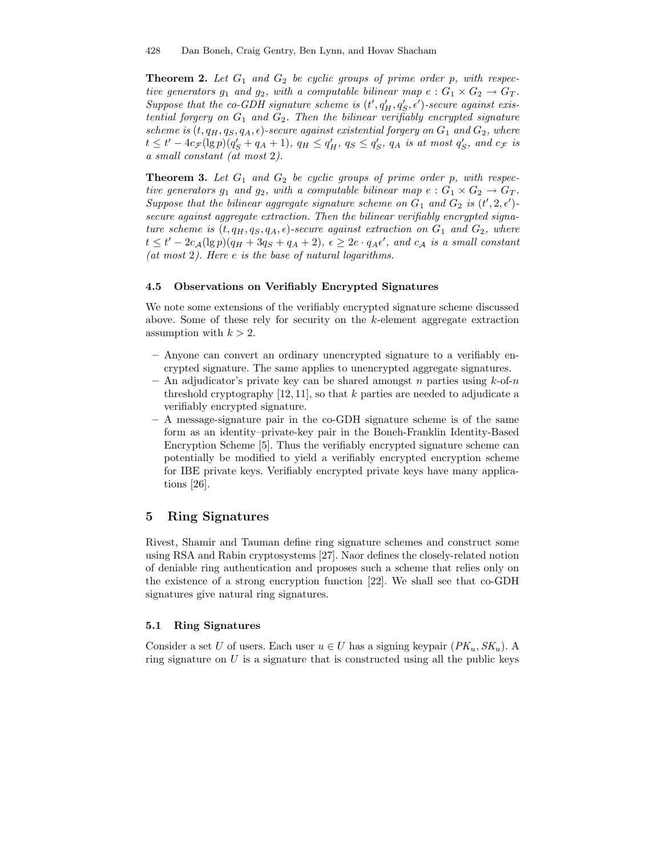**Theorem 2.** Let  $G_1$  and  $G_2$  be cyclic groups of prime order p, with respective generators  $g_1$  and  $g_2$ , with a computable bilinear map  $e : G_1 \times G_2 \to G_T$ . Suppose that the co-GDH signature scheme is  $(t', q'_H, q'_S, \epsilon')$ -secure against existential forgery on  $G_1$  and  $G_2$ . Then the bilinear verifiably encrypted signature scheme is  $(t, q_H, q_S, q_A, \epsilon)$ -secure against existential forgery on  $G_1$  and  $G_2$ , where  $t \leq t' - 4c_{\mathcal{F}}(\lg p)(q'_{S} + q_{A} + 1), q_{H} \leq q'_{H}, q_{S} \leq q'_{S}, q_{A}$  is at most  $q'_{S},$  and  $c_{\mathcal{F}}$  is a small constant (at most 2).

**Theorem 3.** Let  $G_1$  and  $G_2$  be cyclic groups of prime order p, with respective generators  $g_1$  and  $g_2$ , with a computable bilinear map  $e: G_1 \times G_2 \to G_T$ . Suppose that the bilinear aggregate signature scheme on  $G_1$  and  $G_2$  is  $(t', 2, \epsilon')$ secure against aggregate extraction. Then the bilinear verifiably encrypted signature scheme is  $(t, q_H, q_S, q_A, \epsilon)$ -secure against extraction on  $G_1$  and  $G_2$ , where  $t \leq t' - 2c_{\mathcal{A}}(\lg p)(q_H + 3q_S + q_A + 2), \ \epsilon \geq 2e \cdot q_A \epsilon'$ , and  $c_{\mathcal{A}}$  is a small constant (at most 2). Here e is the base of natural logarithms.

#### 4.5 Observations on Verifiably Encrypted Signatures

We note some extensions of the verifiably encrypted signature scheme discussed above. Some of these rely for security on the k-element aggregate extraction assumption with  $k > 2$ .

- Anyone can convert an ordinary unencrypted signature to a verifiably encrypted signature. The same applies to unencrypted aggregate signatures.
- An adjudicator's private key can be shared amongst n parties using  $k$ -of-n threshold cryptography  $[12, 11]$ , so that k parties are needed to adjudicate a verifiably encrypted signature.
- A message-signature pair in the co-GDH signature scheme is of the same form as an identity–private-key pair in the Boneh-Franklin Identity-Based Encryption Scheme [5]. Thus the verifiably encrypted signature scheme can potentially be modified to yield a verifiably encrypted encryption scheme for IBE private keys. Verifiably encrypted private keys have many applications [26].

# 5 Ring Signatures

Rivest, Shamir and Tauman define ring signature schemes and construct some using RSA and Rabin cryptosystems [27]. Naor defines the closely-related notion of deniable ring authentication and proposes such a scheme that relies only on the existence of a strong encryption function [22]. We shall see that co-GDH signatures give natural ring signatures.

#### 5.1 Ring Signatures

Consider a set U of users. Each user  $u \in U$  has a signing keypair  $(PK_u, SK_u)$ . A ring signature on  $U$  is a signature that is constructed using all the public keys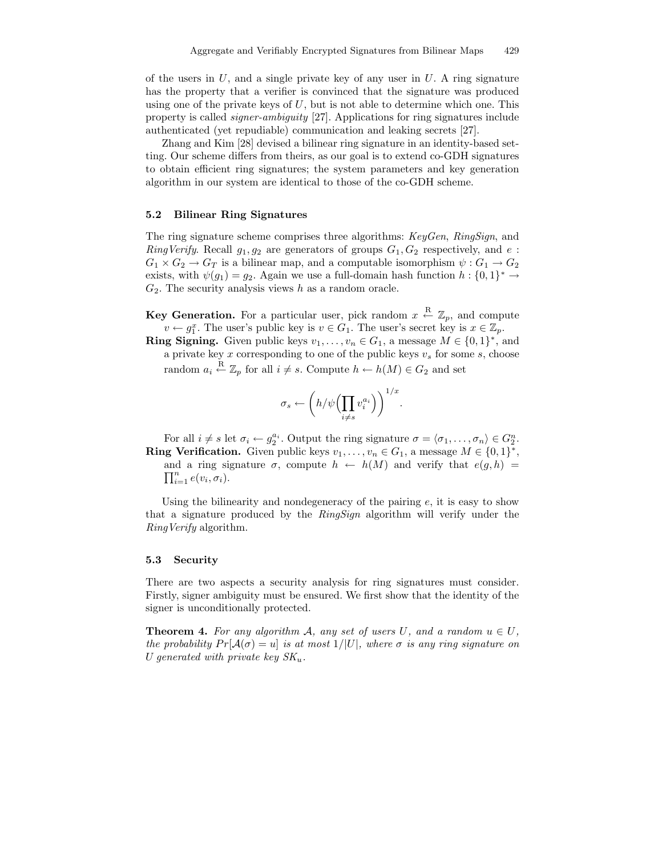of the users in  $U$ , and a single private key of any user in  $U$ . A ring signature has the property that a verifier is convinced that the signature was produced using one of the private keys of  $U$ , but is not able to determine which one. This property is called signer-ambiguity [27]. Applications for ring signatures include authenticated (yet repudiable) communication and leaking secrets [27].

Zhang and Kim [28] devised a bilinear ring signature in an identity-based setting. Our scheme differs from theirs, as our goal is to extend co-GDH signatures to obtain efficient ring signatures; the system parameters and key generation algorithm in our system are identical to those of the co-GDH scheme.

#### 5.2 Bilinear Ring Signatures

The ring signature scheme comprises three algorithms: KeyGen, RingSign, and *RingVerify.* Recall  $g_1, g_2$  are generators of groups  $G_1, G_2$  respectively, and e:  $G_1 \times G_2 \to G_T$  is a bilinear map, and a computable isomorphism  $\psi : G_1 \to G_2$ exists, with  $\psi(g_1) = g_2$ . Again we use a full-domain hash function  $h: \{0,1\}^* \to$  $G_2$ . The security analysis views h as a random oracle.

Key Generation. For a particular user, pick random  $x \stackrel{\text{R}}{\leftarrow} \mathbb{Z}_p$ , and compute  $v \leftarrow g_1^x$ . The user's public key is  $v \in G_1$ . The user's secret key is  $x \in \mathbb{Z}_p$ .

**Ring Signing.** Given public keys  $v_1, \ldots, v_n \in G_1$ , a message  $M \in \{0, 1\}^*$ , and a private key x corresponding to one of the public keys  $v_s$  for some s, choose

random  $a_i \stackrel{\text{R}}{\leftarrow} \mathbb{Z}_p$  for all  $i \neq s$ . Compute  $h \leftarrow h(M) \in G_2$  and set

$$
\sigma_s \leftarrow \left(h/\psi \left(\prod_{i \neq s} v_i^{a_i}\right)\right)^{1/x}
$$

.

For all  $i \neq s$  let  $\sigma_i \leftarrow g_2^{a_i}$ . Output the ring signature  $\sigma = \langle \sigma_1, \ldots, \sigma_n \rangle \in G_2^n$ . **Ring Verification.** Given public keys  $v_1, \ldots, v_n \in G_1$ , a message  $M \in \{0,1\}^*$ ,  $\prod_{i=1}^n e(v_i, \sigma_i)$ . and a ring signature  $\sigma$ , compute  $h \leftarrow h(M)$  and verify that  $e(g, h)$ 

Using the bilinearity and nondegeneracy of the pairing  $e$ , it is easy to show that a signature produced by the RingSign algorithm will verify under the RingVerify algorithm.

#### 5.3 Security

There are two aspects a security analysis for ring signatures must consider. Firstly, signer ambiguity must be ensured. We first show that the identity of the signer is unconditionally protected.

**Theorem 4.** For any algorithm A, any set of users U, and a random  $u \in U$ , the probability  $Pr[\mathcal{A}(\sigma) = u]$  is at most  $1/|U|$ , where  $\sigma$  is any ring signature on U generated with private key  $SK_u$ .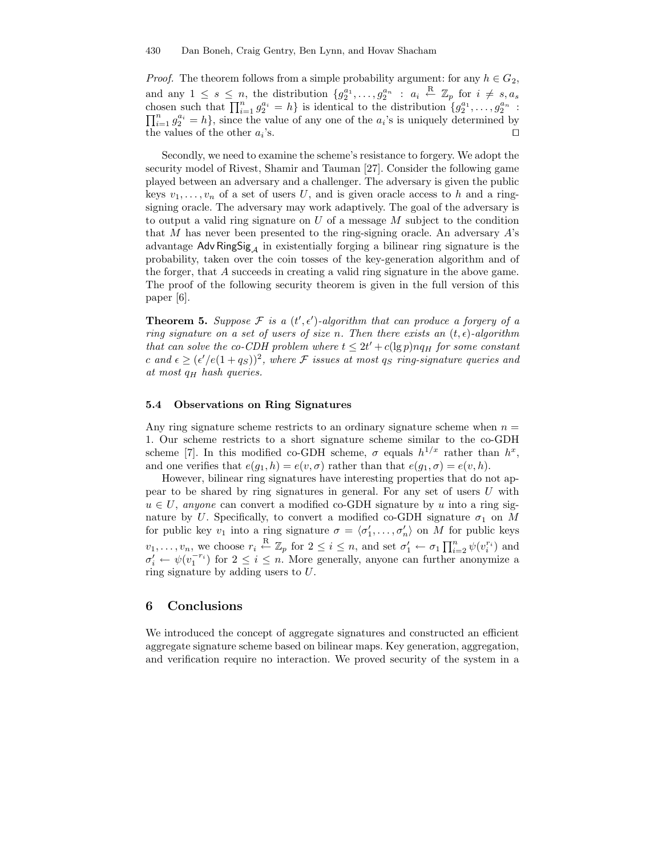*Proof.* The theorem follows from a simple probability argument: for any  $h \in G_2$ , and any  $1 \leq s \leq n$ , the distribution  $\{g_2^{a_1}, \ldots, g_2^{a_n} : a_i \stackrel{\text{R}}{\leftarrow} \mathbb{Z}_p \text{ for } i \neq s, a_s\}$ chosen such that  $\prod_{i=1}^{n} g_2^{a_i} = h$  is identical to the distribution  $\{g_2^{a_1}, \ldots, g_2^{a_n} : \prod_{i=1}^{n} g_2^{a_i} = h\}$ , since the value of any one of the  $a_i$ 's is uniquely determined by the values of the other  $a_i$ 's.  $\mathcal{L}$  s.

Secondly, we need to examine the scheme's resistance to forgery. We adopt the security model of Rivest, Shamir and Tauman [27]. Consider the following game played between an adversary and a challenger. The adversary is given the public keys  $v_1, \ldots, v_n$  of a set of users U, and is given oracle access to h and a ringsigning oracle. The adversary may work adaptively. The goal of the adversary is to output a valid ring signature on  $U$  of a message  $M$  subject to the condition that M has never been presented to the ring-signing oracle. An adversary  $A$ 's advantage  $\Delta$ dv Ring $\text{Sig}_{\mathcal{A}}$  in existentially forging a bilinear ring signature is the probability, taken over the coin tosses of the key-generation algorithm and of the forger, that A succeeds in creating a valid ring signature in the above game. The proof of the following security theorem is given in the full version of this paper [6].

**Theorem 5.** Suppose  $\mathcal{F}$  is a  $(t', \epsilon')$ -algorithm that can produce a forgery of a ring signature on a set of users of size n. Then there exists an  $(t, \epsilon)$ -algorithm that can solve the co-CDH problem where  $t \leq 2t' + c(\lg p)nq_H$  for some constant c and  $\epsilon \geq (\epsilon'/e(1+q_S))^2$ , where  ${\cal F}$  issues at most  $q_S$  ring-signature queries and at most  $q_H$  hash queries.

#### 5.4 Observations on Ring Signatures

Any ring signature scheme restricts to an ordinary signature scheme when  $n =$ 1. Our scheme restricts to a short signature scheme similar to the co-GDH scheme [7]. In this modified co-GDH scheme,  $\sigma$  equals  $h^{1/x}$  rather than  $h^x$ , and one verifies that  $e(g_1, h) = e(v, \sigma)$  rather than that  $e(g_1, \sigma) = e(v, h)$ .

However, bilinear ring signatures have interesting properties that do not appear to be shared by ring signatures in general. For any set of users  $U$  with  $u \in U$ , anyone can convert a modified co-GDH signature by u into a ring signature by U. Specifically, to convert a modified co-GDH signature  $\sigma_1$  on M for public key  $v_1$  into a ring signature  $\sigma = \langle \sigma'_1, \ldots, \sigma'_n \rangle$  on M for public keys  $v_1, \ldots, v_n$ , we choose  $r_i \stackrel{\text{R}}{\leftarrow} \mathbb{Z}_p$  for  $2 \leq i \leq n$ , and set  $\sigma'_1 \leftarrow \sigma_1 \prod_{i=2}^n \psi(v_i^{r_i})$  and  $\sigma'_i \leftarrow \psi(v_1^{-r_i})$  for  $2 \leq i \leq n$ . More generally, anyone can further anonymize a ring signature by adding users to U.

## 6 Conclusions

We introduced the concept of aggregate signatures and constructed an efficient aggregate signature scheme based on bilinear maps. Key generation, aggregation, and verification require no interaction. We proved security of the system in a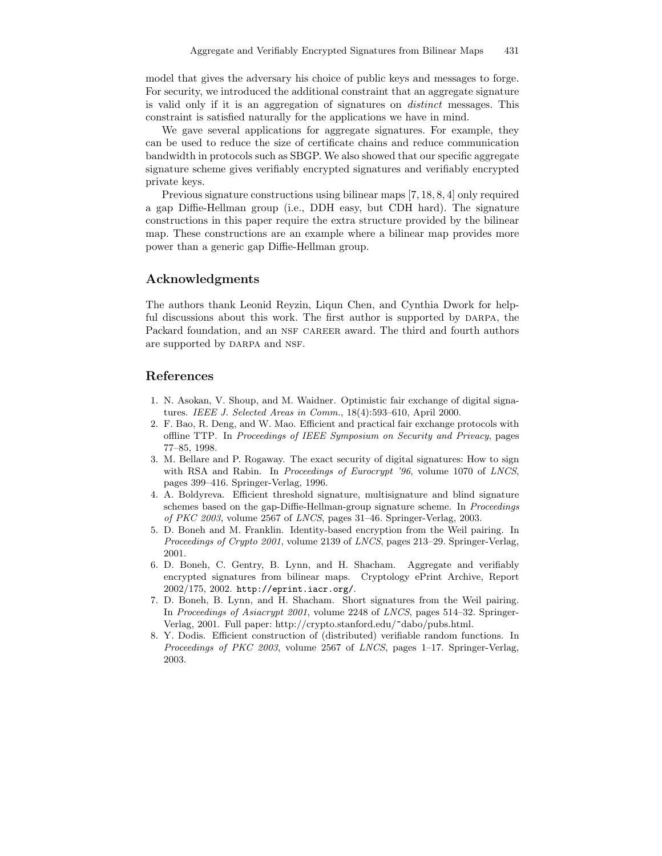model that gives the adversary his choice of public keys and messages to forge. For security, we introduced the additional constraint that an aggregate signature is valid only if it is an aggregation of signatures on distinct messages. This constraint is satisfied naturally for the applications we have in mind.

We gave several applications for aggregate signatures. For example, they can be used to reduce the size of certificate chains and reduce communication bandwidth in protocols such as SBGP. We also showed that our specific aggregate signature scheme gives verifiably encrypted signatures and verifiably encrypted private keys.

Previous signature constructions using bilinear maps [7, 18, 8, 4] only required a gap Diffie-Hellman group (i.e., DDH easy, but CDH hard). The signature constructions in this paper require the extra structure provided by the bilinear map. These constructions are an example where a bilinear map provides more power than a generic gap Diffie-Hellman group.

# Acknowledgments

The authors thank Leonid Reyzin, Liqun Chen, and Cynthia Dwork for helpful discussions about this work. The first author is supported by DARPA, the Packard foundation, and an NSF CAREER award. The third and fourth authors are supported by DARPA and NSF.

## References

- 1. N. Asokan, V. Shoup, and M. Waidner. Optimistic fair exchange of digital signatures. IEEE J. Selected Areas in Comm., 18(4):593–610, April 2000.
- 2. F. Bao, R. Deng, and W. Mao. Efficient and practical fair exchange protocols with offline TTP. In Proceedings of IEEE Symposium on Security and Privacy, pages 77–85, 1998.
- 3. M. Bellare and P. Rogaway. The exact security of digital signatures: How to sign with RSA and Rabin. In Proceedings of Eurocrypt '96, volume 1070 of LNCS, pages 399–416. Springer-Verlag, 1996.
- 4. A. Boldyreva. Efficient threshold signature, multisignature and blind signature schemes based on the gap-Diffie-Hellman-group signature scheme. In *Proceedings* of PKC 2003, volume  $2567$  of LNCS, pages 31–46. Springer-Verlag, 2003.
- 5. D. Boneh and M. Franklin. Identity-based encryption from the Weil pairing. In Proceedings of Crypto 2001, volume 2139 of LNCS, pages 213–29. Springer-Verlag, 2001.
- 6. D. Boneh, C. Gentry, B. Lynn, and H. Shacham. Aggregate and verifiably encrypted signatures from bilinear maps. Cryptology ePrint Archive, Report 2002/175, 2002. http://eprint.iacr.org/.
- 7. D. Boneh, B. Lynn, and H. Shacham. Short signatures from the Weil pairing. In Proceedings of Asiacrypt 2001, volume 2248 of LNCS, pages 514–32. Springer-Verlag, 2001. Full paper: http://crypto.stanford.edu/~dabo/pubs.html.
- 8. Y. Dodis. Efficient construction of (distributed) verifiable random functions. In Proceedings of PKC 2003, volume 2567 of LNCS, pages 1–17. Springer-Verlag, 2003.